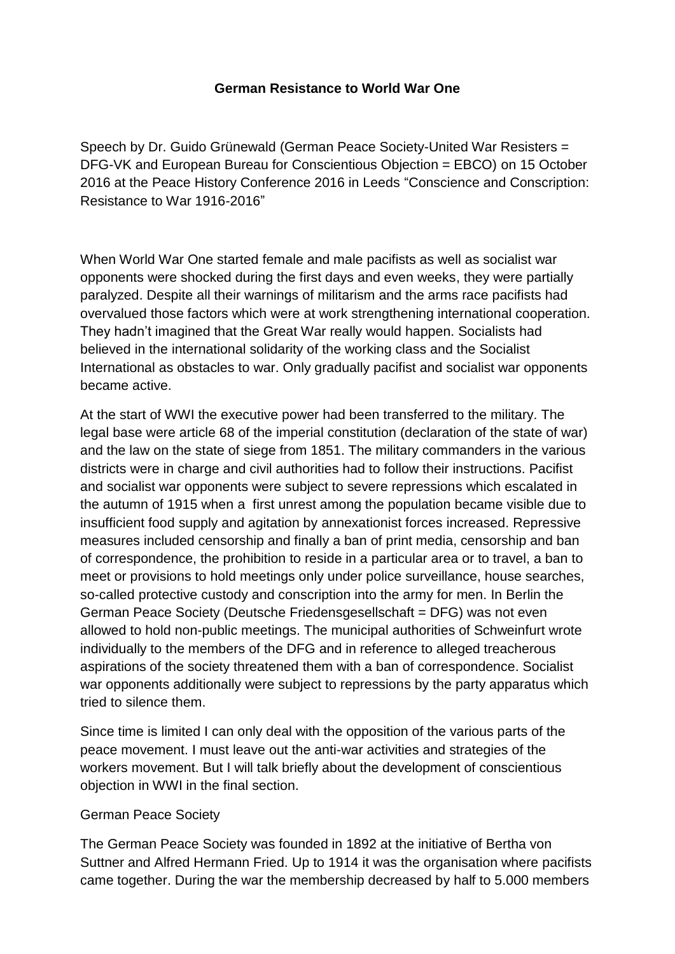# **German Resistance to World War One**

Speech by Dr. Guido Grünewald (German Peace Society-United War Resisters = DFG-VK and European Bureau for Conscientious Objection = EBCO) on 15 October 2016 at the Peace History Conference 2016 in Leeds "Conscience and Conscription: Resistance to War 1916-2016"

When World War One started female and male pacifists as well as socialist war opponents were shocked during the first days and even weeks, they were partially paralyzed. Despite all their warnings of militarism and the arms race pacifists had overvalued those factors which were at work strengthening international cooperation. They hadn't imagined that the Great War really would happen. Socialists had believed in the international solidarity of the working class and the Socialist International as obstacles to war. Only gradually pacifist and socialist war opponents became active.

At the start of WWI the executive power had been transferred to the military. The legal base were article 68 of the imperial constitution (declaration of the state of war) and the law on the state of siege from 1851. The military commanders in the various districts were in charge and civil authorities had to follow their instructions. Pacifist and socialist war opponents were subject to severe repressions which escalated in the autumn of 1915 when a first unrest among the population became visible due to insufficient food supply and agitation by annexationist forces increased. Repressive measures included censorship and finally a ban of print media, censorship and ban of correspondence, the prohibition to reside in a particular area or to travel, a ban to meet or provisions to hold meetings only under police surveillance, house searches, so-called protective custody and conscription into the army for men. In Berlin the German Peace Society (Deutsche Friedensgesellschaft = DFG) was not even allowed to hold non-public meetings. The municipal authorities of Schweinfurt wrote individually to the members of the DFG and in reference to alleged treacherous aspirations of the society threatened them with a ban of correspondence. Socialist war opponents additionally were subject to repressions by the party apparatus which tried to silence them.

Since time is limited I can only deal with the opposition of the various parts of the peace movement. I must leave out the anti-war activities and strategies of the workers movement. But I will talk briefly about the development of conscientious objection in WWI in the final section.

### German Peace Society

The German Peace Society was founded in 1892 at the initiative of Bertha von Suttner and Alfred Hermann Fried. Up to 1914 it was the organisation where pacifists came together. During the war the membership decreased by half to 5.000 members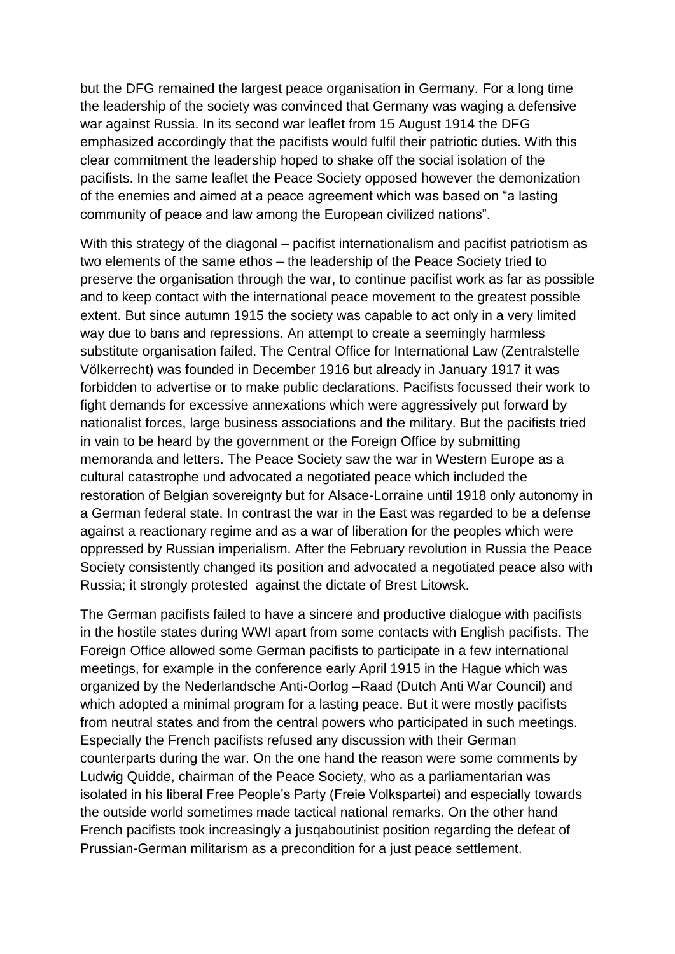but the DFG remained the largest peace organisation in Germany. For a long time the leadership of the society was convinced that Germany was waging a defensive war against Russia. In its second war leaflet from 15 August 1914 the DFG emphasized accordingly that the pacifists would fulfil their patriotic duties. With this clear commitment the leadership hoped to shake off the social isolation of the pacifists. In the same leaflet the Peace Society opposed however the demonization of the enemies and aimed at a peace agreement which was based on "a lasting community of peace and law among the European civilized nations".

With this strategy of the diagonal – pacifist internationalism and pacifist patriotism as two elements of the same ethos – the leadership of the Peace Society tried to preserve the organisation through the war, to continue pacifist work as far as possible and to keep contact with the international peace movement to the greatest possible extent. But since autumn 1915 the society was capable to act only in a very limited way due to bans and repressions. An attempt to create a seemingly harmless substitute organisation failed. The Central Office for International Law (Zentralstelle Völkerrecht) was founded in December 1916 but already in January 1917 it was forbidden to advertise or to make public declarations. Pacifists focussed their work to fight demands for excessive annexations which were aggressively put forward by nationalist forces, large business associations and the military. But the pacifists tried in vain to be heard by the government or the Foreign Office by submitting memoranda and letters. The Peace Society saw the war in Western Europe as a cultural catastrophe und advocated a negotiated peace which included the restoration of Belgian sovereignty but for Alsace-Lorraine until 1918 only autonomy in a German federal state. In contrast the war in the East was regarded to be a defense against a reactionary regime and as a war of liberation for the peoples which were oppressed by Russian imperialism. After the February revolution in Russia the Peace Society consistently changed its position and advocated a negotiated peace also with Russia; it strongly protested against the dictate of Brest Litowsk.

The German pacifists failed to have a sincere and productive dialogue with pacifists in the hostile states during WWI apart from some contacts with English pacifists. The Foreign Office allowed some German pacifists to participate in a few international meetings, for example in the conference early April 1915 in the Hague which was organized by the Nederlandsche Anti-Oorlog –Raad (Dutch Anti War Council) and which adopted a minimal program for a lasting peace. But it were mostly pacifists from neutral states and from the central powers who participated in such meetings. Especially the French pacifists refused any discussion with their German counterparts during the war. On the one hand the reason were some comments by Ludwig Quidde, chairman of the Peace Society, who as a parliamentarian was isolated in his liberal Free People's Party (Freie Volkspartei) and especially towards the outside world sometimes made tactical national remarks. On the other hand French pacifists took increasingly a jusqaboutinist position regarding the defeat of Prussian-German militarism as a precondition for a just peace settlement.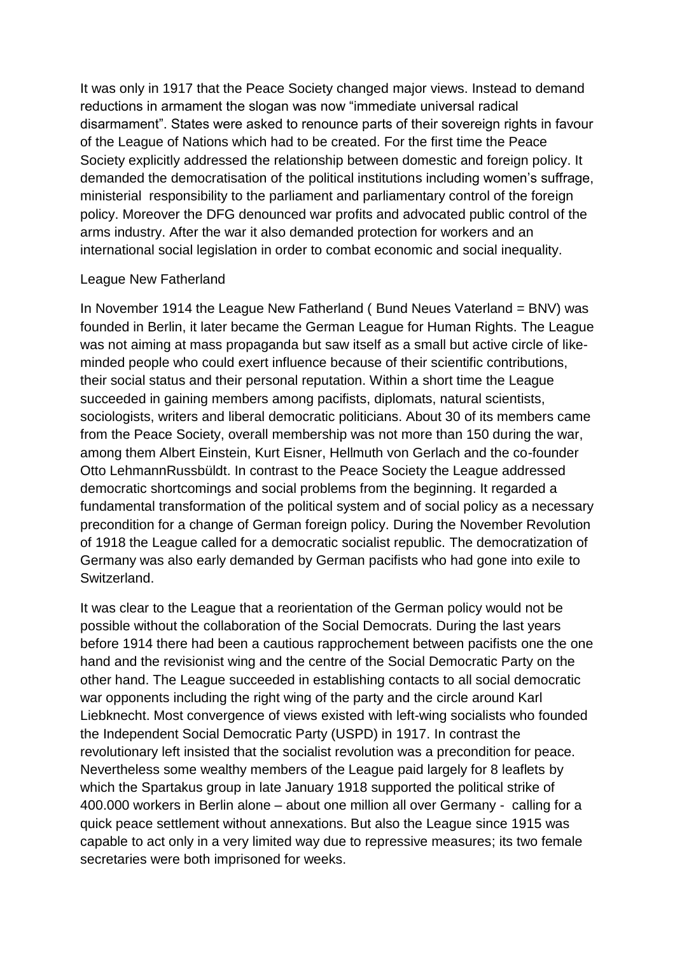It was only in 1917 that the Peace Society changed major views. Instead to demand reductions in armament the slogan was now "immediate universal radical disarmament". States were asked to renounce parts of their sovereign rights in favour of the League of Nations which had to be created. For the first time the Peace Society explicitly addressed the relationship between domestic and foreign policy. It demanded the democratisation of the political institutions including women's suffrage, ministerial responsibility to the parliament and parliamentary control of the foreign policy. Moreover the DFG denounced war profits and advocated public control of the arms industry. After the war it also demanded protection for workers and an international social legislation in order to combat economic and social inequality.

### League New Fatherland

In November 1914 the League New Fatherland ( Bund Neues Vaterland = BNV) was founded in Berlin, it later became the German League for Human Rights. The League was not aiming at mass propaganda but saw itself as a small but active circle of likeminded people who could exert influence because of their scientific contributions, their social status and their personal reputation. Within a short time the League succeeded in gaining members among pacifists, diplomats, natural scientists, sociologists, writers and liberal democratic politicians. About 30 of its members came from the Peace Society, overall membership was not more than 150 during the war, among them Albert Einstein, Kurt Eisner, Hellmuth von Gerlach and the co-founder Otto LehmannRussbüldt. In contrast to the Peace Society the League addressed democratic shortcomings and social problems from the beginning. It regarded a fundamental transformation of the political system and of social policy as a necessary precondition for a change of German foreign policy. During the November Revolution of 1918 the League called for a democratic socialist republic. The democratization of Germany was also early demanded by German pacifists who had gone into exile to **Switzerland** 

It was clear to the League that a reorientation of the German policy would not be possible without the collaboration of the Social Democrats. During the last years before 1914 there had been a cautious rapprochement between pacifists one the one hand and the revisionist wing and the centre of the Social Democratic Party on the other hand. The League succeeded in establishing contacts to all social democratic war opponents including the right wing of the party and the circle around Karl Liebknecht. Most convergence of views existed with left-wing socialists who founded the Independent Social Democratic Party (USPD) in 1917. In contrast the revolutionary left insisted that the socialist revolution was a precondition for peace. Nevertheless some wealthy members of the League paid largely for 8 leaflets by which the Spartakus group in late January 1918 supported the political strike of 400.000 workers in Berlin alone – about one million all over Germany - calling for a quick peace settlement without annexations. But also the League since 1915 was capable to act only in a very limited way due to repressive measures; its two female secretaries were both imprisoned for weeks.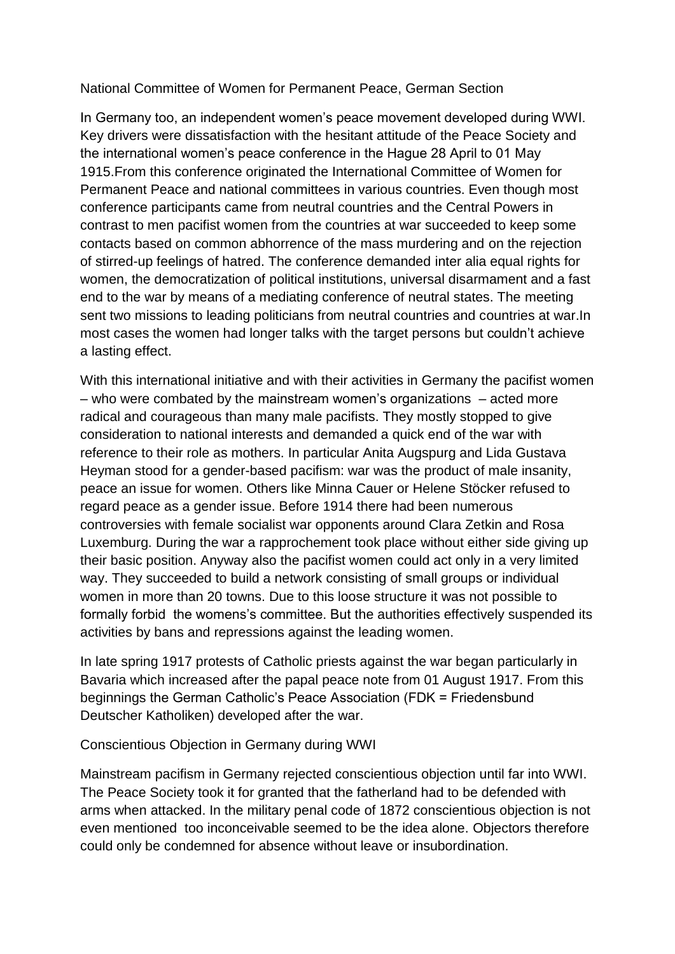# National Committee of Women for Permanent Peace, German Section

In Germany too, an independent women's peace movement developed during WWI. Key drivers were dissatisfaction with the hesitant attitude of the Peace Society and the international women's peace conference in the Hague 28 April to 01 May 1915.From this conference originated the International Committee of Women for Permanent Peace and national committees in various countries. Even though most conference participants came from neutral countries and the Central Powers in contrast to men pacifist women from the countries at war succeeded to keep some contacts based on common abhorrence of the mass murdering and on the rejection of stirred-up feelings of hatred. The conference demanded inter alia equal rights for women, the democratization of political institutions, universal disarmament and a fast end to the war by means of a mediating conference of neutral states. The meeting sent two missions to leading politicians from neutral countries and countries at war.In most cases the women had longer talks with the target persons but couldn't achieve a lasting effect.

With this international initiative and with their activities in Germany the pacifist women – who were combated by the mainstream women's organizations – acted more radical and courageous than many male pacifists. They mostly stopped to give consideration to national interests and demanded a quick end of the war with reference to their role as mothers. In particular Anita Augspurg and Lida Gustava Heyman stood for a gender-based pacifism: war was the product of male insanity, peace an issue for women. Others like Minna Cauer or Helene Stöcker refused to regard peace as a gender issue. Before 1914 there had been numerous controversies with female socialist war opponents around Clara Zetkin and Rosa Luxemburg. During the war a rapprochement took place without either side giving up their basic position. Anyway also the pacifist women could act only in a very limited way. They succeeded to build a network consisting of small groups or individual women in more than 20 towns. Due to this loose structure it was not possible to formally forbid the womens's committee. But the authorities effectively suspended its activities by bans and repressions against the leading women.

In late spring 1917 protests of Catholic priests against the war began particularly in Bavaria which increased after the papal peace note from 01 August 1917. From this beginnings the German Catholic's Peace Association (FDK = Friedensbund Deutscher Katholiken) developed after the war.

### Conscientious Objection in Germany during WWI

Mainstream pacifism in Germany rejected conscientious objection until far into WWI. The Peace Society took it for granted that the fatherland had to be defended with arms when attacked. In the military penal code of 1872 conscientious objection is not even mentioned too inconceivable seemed to be the idea alone. Objectors therefore could only be condemned for absence without leave or insubordination.